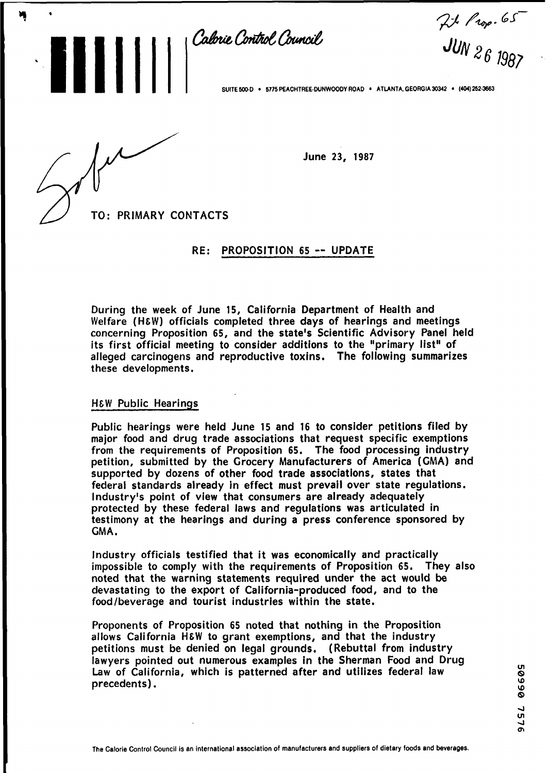Calorie Control Council

 $71$  Prop. 65<br>JUN 26 1987

SUITE 500 D **5775 PEACHTREE-DUNWOODY ROAD · ATLANTA, GEORGIA 30342 · (404) 252-3663** 

**111111** 

3'

June 23, 1987

TO: PRIMARY CONTACTS

#### RE: PROPOSITION 65 -- UPDATE

During the week of June 15, California Department of Health and Welfare (HEW) officials completed three days of hearings and meetings concerning Proposition 65, and the state's Scientific Advisory Panel held its first official meeting to consider additions to the "primary list" of alleged carcinogens and reproductive toxins, The following summarizes these developments.

# **H&W** Public Hearings

Public hearings were held June 15 and 16 to consider petitions filed by major food and drug trade associations that request specific exemptions from the requirements of Proposition 65. The food processing industry petition, submitted by the Grocery Manufacturers of America (GMA) and supported by dozens of other food trade associations, states that federal standards already in effect must prevail over state regulations. Industry's point of view that consumers are already adequately protected by these federal laws and regulations was articulated in testimony at the hearings and during a press conference sponsored by CMA.

Industry officials testified that it was economically and practically impossible to comply with the requirements of Proposition 65. They also noted that the warning statements required under the act would be devastating to the export of California-produced food, and to the food/beverage and tourist industries within the state.

Proponents of Proposition 65 noted that nothing in the Proposition allows California H&W to grant exemptions, and that the industry petitions must be denied on legal grounds. (Rebuttal from industry lawyers pointed out numerous examples in the Sherman Food and Drug Law of California, which is patterned after and utilizes federal law precedents).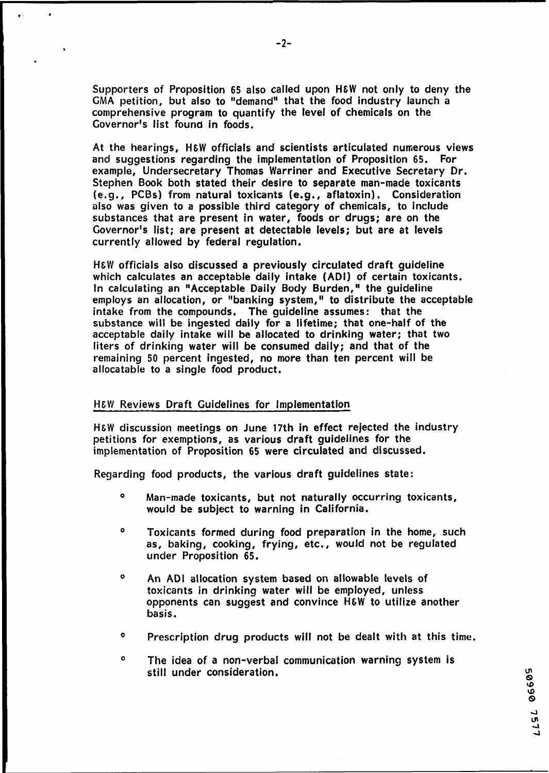Supporters of Proposition 65 also called upon **HEW** not only to deny the **GMA** petition, but also to "demand" that the food industry launch a comprehensive program to quantify the level of chemicals on the Governor's list found in foods.

At the hearings, **H&W** officials and scientists articulated numerous views and suggestions regarding the implementation of Proposition 65. For example, Undersecretary Thomas Warriner and Executive Secretary Dr. Stephen Book both stated their desire to separate man-made toxicants (e.g., PCBs) from natural toxicants (e.g., aflatoxin). Consideration also was given to a possible third category of chemicals, to include substances that are present in water, foods or drugs; are on the Governor's list; are present at detectable levels; but are at levels currently allowed by federal regulation.

**HEW** officials also discussed a previously circulated draft guideline which calculates an acceptable daily intake (ADI) of certain toxicants, In calculating an "Acceptable Daily Body Burden," the guideline employs an allocation, or "banking system, **I'** to distribute the acceptable intake from the compounds. The guideline assumes: that the substance will be ingested daily for a lifetime; that one-half of the acceptable daily intake will be allocated to drinking water; that two liters of drinking water will be consumed daily; and that of the remaining 50 percent ingested, no more than ten percent will be allocatable to a single food product.

# **HEW** Reviews Draft Guidelines for Implementation

**HEW** discussion meetings on June 17th in effect rejected the industry petitions for exemptions, as various draft guidelines for the implementation of Proposition 65 were circulated and discussed.

Regarding food products, the various draft guidelines state:

- **<sup>O</sup>**Man-made toxicants, but not naturally occurring toxicants, would be subject to warning in California.
- <sup>o</sup> Toxicants formed during food preparation in the home, such as, baking, cooking, frying, etc., would not be regulated under Proposition 65.
- <sup>o</sup> An ADI allocation system based on allowable levels of toxicants in drinking water will be employed, unless opponents can suggest and convince H&W to utilize another basis.
- <sup>o</sup> Prescription drug products will not be dealt with at this time.

50990 7577

<sup>o</sup> The idea of a non-verbal communication warning system is still under consideration.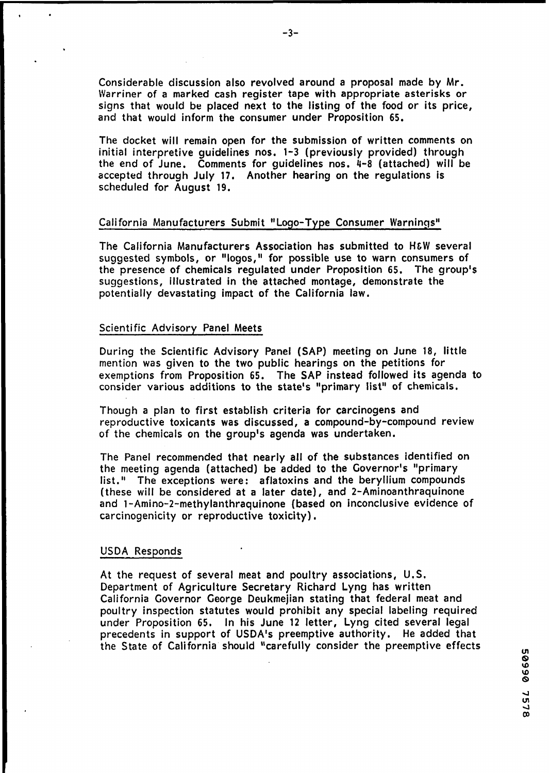Considerable discussion also revolved around a proposal made by Mr. Warriner of a marked cash register tape with appropriate asterisks or signs that would be placed next to the listing of the food or its price, and that would inform the consumer under Proposition 65.

The docket will remain open for the submission of written comments on initial interpretive guidelines nos. 1-3 (previously provided) through the end of June. Comments for guidelines nos. 4-8 (attached) will be accepted through July 17. Another hearing on the regulations is scheduled for August 19.

# California Manufacturers Submit "Logo-Type Consumer Warnings"

The California Manufacturers Association has submitted to **HLW** several suggested symbols, or "logos," for possible use to warn consumers of the presence of chemicals regulated under Proposition 65, The group's suggestions, illustrated in the attached montage, demonstrate the potentially devastating impact of the California law.

#### Scientific Advisory Panel Meets

During the Scientific Advisory Panel (SAP) meeting on June 18, little mention was given to the two public hearings on the petitions for exemptions from Proposition 65. The SAP instead followed its agenda to consider various additions to the state's "primary list" of chemicals.

Though a plan to first establish criteria for carcinogens and reproductive toxicants was discussed, a compound-by-compound review of the chemicals on the group's agenda was undertaken.

The Panel recommended that nearly all of the substances identified on the meeting agenda (attached) be added to the Governor's "primary list." The exceptions were: aflatoxins and the beryllium compounds (these will be considered at a later date), and 2-Aminoanthraquinone and 1-Amino-2-methylanthraquinone (based on inconclusive evidence of carcinogenicity or reproductive toxicity).

#### USDA Responds

At the request of several meat and poultry associations, U.S. Department of Agriculture Secretary Richard Lyng has written California Governor George Deukmejian stating that federal meat and poultry inspection statutes would prohibit any special labeling required under Proposition 65. In his June 12 letter, Lyng cited several legal precedents in support of USDA's preemptive authority. He added that the State of California' should "carefully consider the preemptive effects

50999 7578